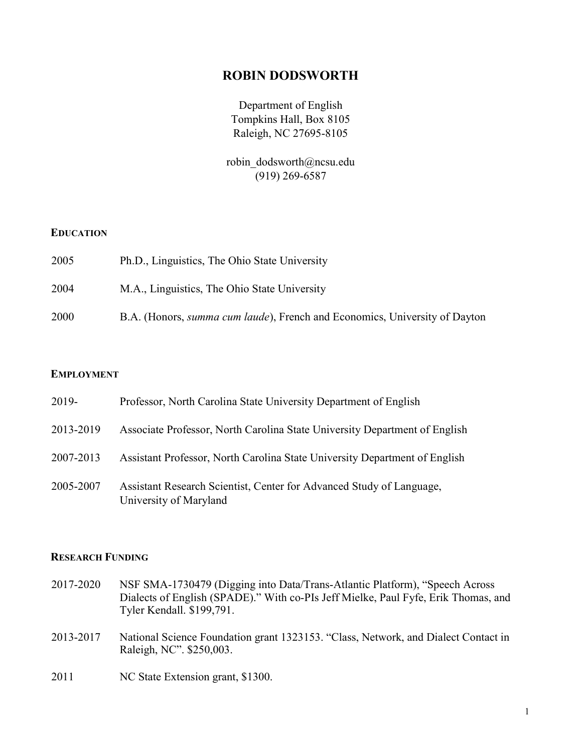## ROBIN DODSWORTH

Department of English Tompkins Hall, Box 8105 Raleigh, NC 27695-8105

robin\_dodsworth@ncsu.edu (919) 269-6587

### **EDUCATION**

| 2005 | Ph.D., Linguistics, The Ohio State University                                      |
|------|------------------------------------------------------------------------------------|
| 2004 | M.A., Linguistics, The Ohio State University                                       |
| 2000 | B.A. (Honors, <i>summa cum laude</i> ), French and Economics, University of Dayton |

### EMPLOYMENT

| 2019-     | Professor, North Carolina State University Department of English                               |
|-----------|------------------------------------------------------------------------------------------------|
| 2013-2019 | Associate Professor, North Carolina State University Department of English                     |
| 2007-2013 | Assistant Professor, North Carolina State University Department of English                     |
| 2005-2007 | Assistant Research Scientist, Center for Advanced Study of Language,<br>University of Maryland |

#### RESEARCH FUNDING

- 2017-2020 NSF SMA-1730479 (Digging into Data/Trans-Atlantic Platform), "Speech Across Dialects of English (SPADE)." With co-PIs Jeff Mielke, Paul Fyfe, Erik Thomas, and Tyler Kendall. \$199,791.
- 2013-2017 National Science Foundation grant 1323153. "Class, Network, and Dialect Contact in Raleigh, NC". \$250,003.
- 2011 NC State Extension grant, \$1300.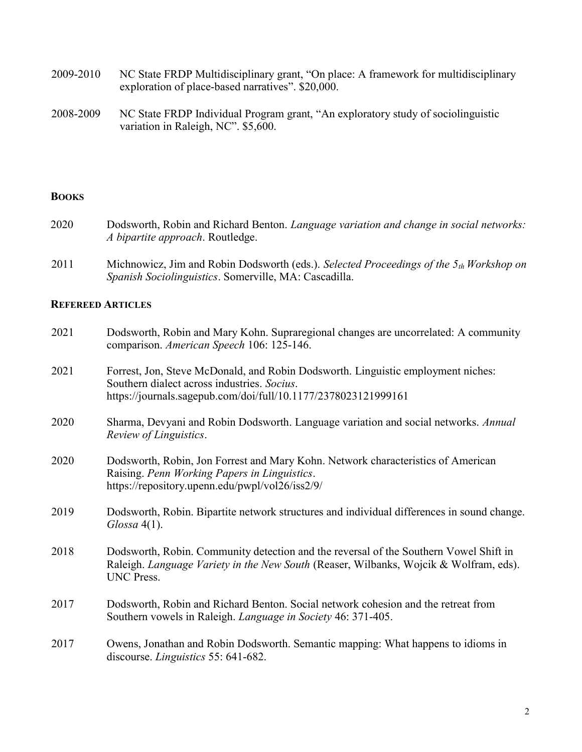- 2009-2010 NC State FRDP Multidisciplinary grant, "On place: A framework for multidisciplinary exploration of place-based narratives". \$20,000.
- 2008-2009 NC State FRDP Individual Program grant, "An exploratory study of sociolinguistic variation in Raleigh, NC". \$5,600.

### **BOOKS**

- 2020 Dodsworth, Robin and Richard Benton. Language variation and change in social networks: A bipartite approach. Routledge.
- 2011 Michnowicz, Jim and Robin Dodsworth (eds.). Selected Proceedings of the  $5<sub>th</sub>$  Workshop on Spanish Sociolinguistics. Somerville, MA: Cascadilla.

### REFEREED ARTICLES

| 2021 | Dodsworth, Robin and Mary Kohn. Supraregional changes are uncorrelated: A community<br>comparison. American Speech 106: 125-146.                                                                  |
|------|---------------------------------------------------------------------------------------------------------------------------------------------------------------------------------------------------|
| 2021 | Forrest, Jon, Steve McDonald, and Robin Dodsworth. Linguistic employment niches:<br>Southern dialect across industries. Socius.<br>https://journals.sagepub.com/doi/full/10.1177/2378023121999161 |
| 2020 | Sharma, Devyani and Robin Dodsworth. Language variation and social networks. Annual<br>Review of Linguistics.                                                                                     |
| 2020 | Dodsworth, Robin, Jon Forrest and Mary Kohn. Network characteristics of American<br>Raising. Penn Working Papers in Linguistics.<br>https://repository.upenn.edu/pwpl/vol26/iss2/9/               |
| 2019 | Dodsworth, Robin. Bipartite network structures and individual differences in sound change.<br>$Glossa$ 4(1).                                                                                      |
| 2018 | Dodsworth, Robin. Community detection and the reversal of the Southern Vowel Shift in<br>Raleigh. Language Variety in the New South (Reaser, Wilbanks, Wojcik & Wolfram, eds).<br>UNC Press.      |
| 2017 | Dodsworth, Robin and Richard Benton. Social network cohesion and the retreat from<br>Southern vowels in Raleigh. <i>Language in Society</i> 46: 371-405.                                          |
| 2017 | Owens, Jonathan and Robin Dodsworth. Semantic mapping: What happens to idioms in<br>discourse. <i>Linguistics</i> 55: 641-682.                                                                    |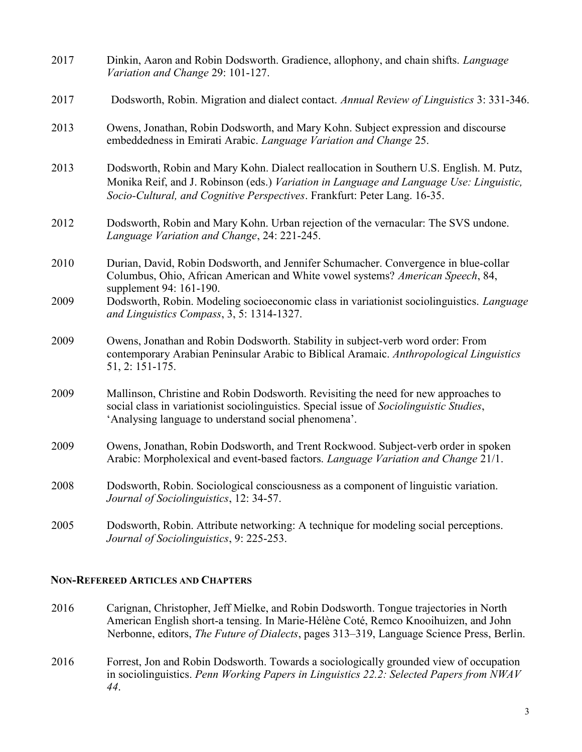| 2017 | Dinkin, Aaron and Robin Dodsworth. Gradience, allophony, and chain shifts. Language<br>Variation and Change 29: 101-127.                                                                                                                                        |
|------|-----------------------------------------------------------------------------------------------------------------------------------------------------------------------------------------------------------------------------------------------------------------|
| 2017 | Dodsworth, Robin. Migration and dialect contact. Annual Review of Linguistics 3: 331-346.                                                                                                                                                                       |
| 2013 | Owens, Jonathan, Robin Dodsworth, and Mary Kohn. Subject expression and discourse<br>embeddedness in Emirati Arabic. Language Variation and Change 25.                                                                                                          |
| 2013 | Dodsworth, Robin and Mary Kohn. Dialect reallocation in Southern U.S. English. M. Putz,<br>Monika Reif, and J. Robinson (eds.) Variation in Language and Language Use: Linguistic,<br>Socio-Cultural, and Cognitive Perspectives. Frankfurt: Peter Lang. 16-35. |
| 2012 | Dodsworth, Robin and Mary Kohn. Urban rejection of the vernacular: The SVS undone.<br>Language Variation and Change, 24: 221-245.                                                                                                                               |
| 2010 | Durian, David, Robin Dodsworth, and Jennifer Schumacher. Convergence in blue-collar<br>Columbus, Ohio, African American and White vowel systems? American Speech, 84,<br>supplement 94: 161-190.                                                                |
| 2009 | Dodsworth, Robin. Modeling socioeconomic class in variationist sociolinguistics. Language<br>and Linguistics Compass, 3, 5: 1314-1327.                                                                                                                          |
| 2009 | Owens, Jonathan and Robin Dodsworth. Stability in subject-verb word order: From<br>contemporary Arabian Peninsular Arabic to Biblical Aramaic. Anthropological Linguistics<br>51, 2: 151-175.                                                                   |
| 2009 | Mallinson, Christine and Robin Dodsworth. Revisiting the need for new approaches to<br>social class in variationist sociolinguistics. Special issue of Sociolinguistic Studies,<br>'Analysing language to understand social phenomena'.                         |
| 2009 | Owens, Jonathan, Robin Dodsworth, and Trent Rockwood. Subject-verb order in spoken<br>Arabic: Morpholexical and event-based factors. Language Variation and Change 21/1.                                                                                        |
| 2008 | Dodsworth, Robin. Sociological consciousness as a component of linguistic variation.<br>Journal of Sociolinguistics, 12: 34-57.                                                                                                                                 |
| 2005 | Dodsworth, Robin. Attribute networking: A technique for modeling social perceptions.<br>Journal of Sociolinguistics, 9: 225-253.                                                                                                                                |

### NON-REFEREED ARTICLES AND CHAPTERS

- 2016 Carignan, Christopher, Jeff Mielke, and Robin Dodsworth. Tongue trajectories in North American English short-a tensing. In Marie-Hélène Coté, Remco Knooihuizen, and John Nerbonne, editors, The Future of Dialects, pages 313–319, Language Science Press, Berlin.
- 2016 Forrest, Jon and Robin Dodsworth. Towards a sociologically grounded view of occupation in sociolinguistics. Penn Working Papers in Linguistics 22.2: Selected Papers from NWAV 44.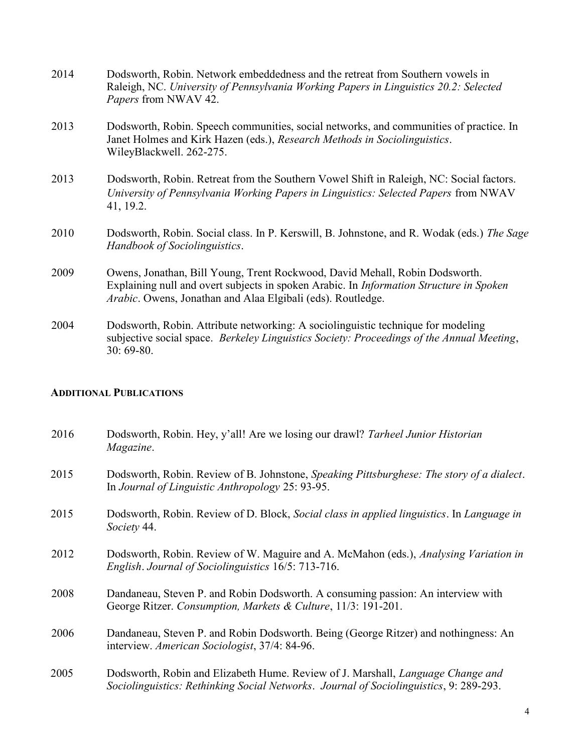| 2014 | Dodsworth, Robin. Network embeddedness and the retreat from Southern vowels in<br>Raleigh, NC. University of Pennsylvania Working Papers in Linguistics 20.2: Selected<br>Papers from NWAV 42.                                                       |
|------|------------------------------------------------------------------------------------------------------------------------------------------------------------------------------------------------------------------------------------------------------|
| 2013 | Dodsworth, Robin. Speech communities, social networks, and communities of practice. In<br>Janet Holmes and Kirk Hazen (eds.), Research Methods in Sociolinguistics.<br>WileyBlackwell. 262-275.                                                      |
| 2013 | Dodsworth, Robin. Retreat from the Southern Vowel Shift in Raleigh, NC: Social factors.<br>University of Pennsylvania Working Papers in Linguistics: Selected Papers from NWAV<br>41, 19.2.                                                          |
| 2010 | Dodsworth, Robin. Social class. In P. Kerswill, B. Johnstone, and R. Wodak (eds.) The Sage<br>Handbook of Sociolinguistics.                                                                                                                          |
| 2009 | Owens, Jonathan, Bill Young, Trent Rockwood, David Mehall, Robin Dodsworth.<br>Explaining null and overt subjects in spoken Arabic. In <i>Information Structure in Spoken</i><br><i>Arabic</i> . Owens, Jonathan and Alaa Elgibali (eds). Routledge. |
| 2004 | Dodsworth, Robin. Attribute networking: A sociolinguistic technique for modeling<br>subjective social space. Berkeley Linguistics Society: Proceedings of the Annual Meeting,<br>$30:69-80.$                                                         |

## ADDITIONAL PUBLICATIONS

| 2016 | Dodsworth, Robin. Hey, y'all! Are we losing our drawl? Tarheel Junior Historian<br>Magazine.                                                                              |
|------|---------------------------------------------------------------------------------------------------------------------------------------------------------------------------|
| 2015 | Dodsworth, Robin. Review of B. Johnstone, Speaking Pittsburghese: The story of a dialect.<br>In Journal of Linguistic Anthropology 25: 93-95.                             |
| 2015 | Dodsworth, Robin. Review of D. Block, Social class in applied linguistics. In Language in<br>Society 44.                                                                  |
| 2012 | Dodsworth, Robin. Review of W. Maguire and A. McMahon (eds.), Analysing Variation in<br>English. Journal of Sociolinguistics 16/5: 713-716.                               |
| 2008 | Dandaneau, Steven P. and Robin Dodsworth. A consuming passion: An interview with<br>George Ritzer. Consumption, Markets & Culture, 11/3: 191-201.                         |
| 2006 | Dandaneau, Steven P. and Robin Dodsworth. Being (George Ritzer) and nothingness: An<br>interview. American Sociologist, 37/4: 84-96.                                      |
| 2005 | Dodsworth, Robin and Elizabeth Hume. Review of J. Marshall, Language Change and<br>Sociolinguistics: Rethinking Social Networks. Journal of Sociolinguistics, 9: 289-293. |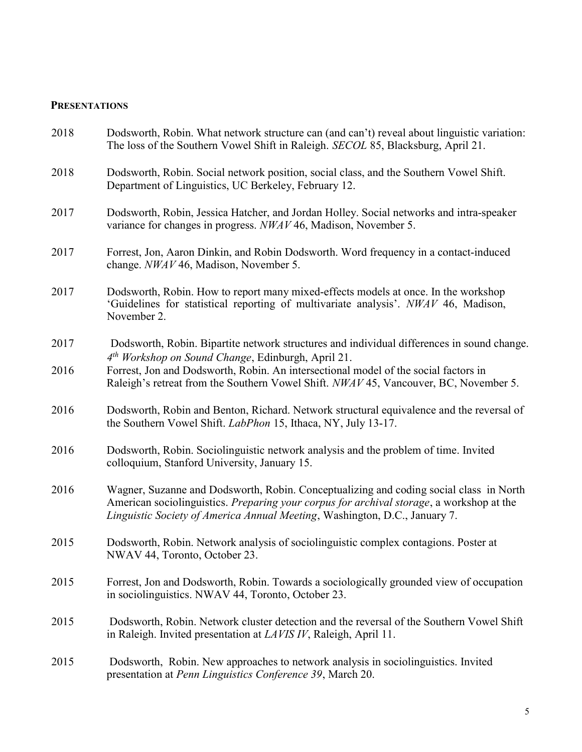### **PRESENTATIONS**

| 2018 | Dodsworth, Robin. What network structure can (and can't) reveal about linguistic variation:<br>The loss of the Southern Vowel Shift in Raleigh. SECOL 85, Blacksburg, April 21.                                                                                  |
|------|------------------------------------------------------------------------------------------------------------------------------------------------------------------------------------------------------------------------------------------------------------------|
| 2018 | Dodsworth, Robin. Social network position, social class, and the Southern Vowel Shift.<br>Department of Linguistics, UC Berkeley, February 12.                                                                                                                   |
| 2017 | Dodsworth, Robin, Jessica Hatcher, and Jordan Holley. Social networks and intra-speaker<br>variance for changes in progress. NWAV 46, Madison, November 5.                                                                                                       |
| 2017 | Forrest, Jon, Aaron Dinkin, and Robin Dodsworth. Word frequency in a contact-induced<br>change. NWAV 46, Madison, November 5.                                                                                                                                    |
| 2017 | Dodsworth, Robin. How to report many mixed-effects models at once. In the workshop<br>'Guidelines for statistical reporting of multivariate analysis'. NWAV 46, Madison,<br>November 2.                                                                          |
| 2017 | Dodsworth, Robin. Bipartite network structures and individual differences in sound change.<br>4 <sup>th</sup> Workshop on Sound Change, Edinburgh, April 21.                                                                                                     |
| 2016 | Forrest, Jon and Dodsworth, Robin. An intersectional model of the social factors in<br>Raleigh's retreat from the Southern Vowel Shift. NWAV 45, Vancouver, BC, November 5.                                                                                      |
| 2016 | Dodsworth, Robin and Benton, Richard. Network structural equivalence and the reversal of<br>the Southern Vowel Shift. <i>LabPhon</i> 15, Ithaca, NY, July 13-17.                                                                                                 |
| 2016 | Dodsworth, Robin. Sociolinguistic network analysis and the problem of time. Invited<br>colloquium, Stanford University, January 15.                                                                                                                              |
| 2016 | Wagner, Suzanne and Dodsworth, Robin. Conceptualizing and coding social class in North<br>American sociolinguistics. Preparing your corpus for archival storage, a workshop at the<br>Linguistic Society of America Annual Meeting, Washington, D.C., January 7. |
| 2015 | Dodsworth, Robin. Network analysis of sociolinguistic complex contagions. Poster at<br>NWAV 44, Toronto, October 23.                                                                                                                                             |
| 2015 | Forrest, Jon and Dodsworth, Robin. Towards a sociologically grounded view of occupation<br>in sociolinguistics. NWAV 44, Toronto, October 23.                                                                                                                    |
| 2015 | Dodsworth, Robin. Network cluster detection and the reversal of the Southern Vowel Shift<br>in Raleigh. Invited presentation at <i>LAVIS IV</i> , Raleigh, April 11.                                                                                             |
| 2015 | Dodsworth, Robin. New approaches to network analysis in sociolinguistics. Invited<br>presentation at Penn Linguistics Conference 39, March 20.                                                                                                                   |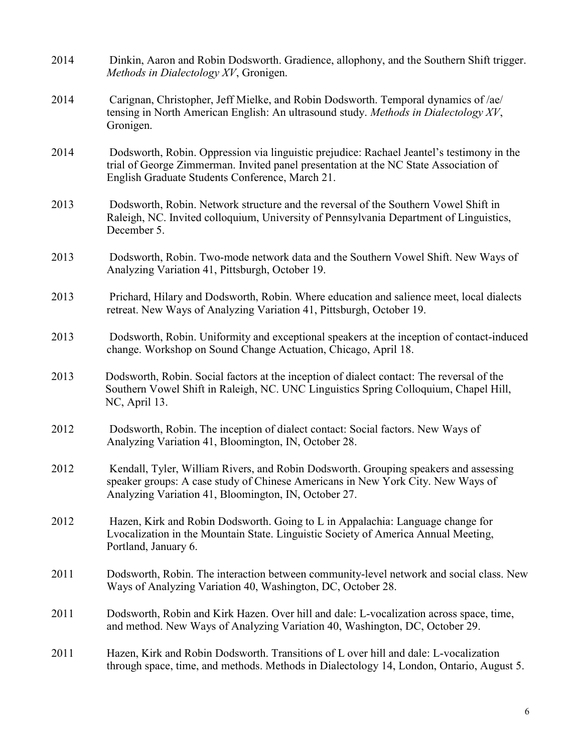| 2014 | Dinkin, Aaron and Robin Dodsworth. Gradience, allophony, and the Southern Shift trigger.<br>Methods in Dialectology XV, Gronigen.                                                                                                    |
|------|--------------------------------------------------------------------------------------------------------------------------------------------------------------------------------------------------------------------------------------|
| 2014 | Carignan, Christopher, Jeff Mielke, and Robin Dodsworth. Temporal dynamics of /ae/<br>tensing in North American English: An ultrasound study. Methods in Dialectology XV,<br>Gronigen.                                               |
| 2014 | Dodsworth, Robin. Oppression via linguistic prejudice: Rachael Jeantel's testimony in the<br>trial of George Zimmerman. Invited panel presentation at the NC State Association of<br>English Graduate Students Conference, March 21. |
| 2013 | Dodsworth, Robin. Network structure and the reversal of the Southern Vowel Shift in<br>Raleigh, NC. Invited colloquium, University of Pennsylvania Department of Linguistics,<br>December 5.                                         |
| 2013 | Dodsworth, Robin. Two-mode network data and the Southern Vowel Shift. New Ways of<br>Analyzing Variation 41, Pittsburgh, October 19.                                                                                                 |
| 2013 | Prichard, Hilary and Dodsworth, Robin. Where education and salience meet, local dialects<br>retreat. New Ways of Analyzing Variation 41, Pittsburgh, October 19.                                                                     |
| 2013 | Dodsworth, Robin. Uniformity and exceptional speakers at the inception of contact-induced<br>change. Workshop on Sound Change Actuation, Chicago, April 18.                                                                          |
| 2013 | Dodsworth, Robin. Social factors at the inception of dialect contact: The reversal of the<br>Southern Vowel Shift in Raleigh, NC. UNC Linguistics Spring Colloquium, Chapel Hill,<br>NC, April 13.                                   |
| 2012 | Dodsworth, Robin. The inception of dialect contact: Social factors. New Ways of<br>Analyzing Variation 41, Bloomington, IN, October 28.                                                                                              |
| 2012 | Kendall, Tyler, William Rivers, and Robin Dodsworth. Grouping speakers and assessing<br>speaker groups: A case study of Chinese Americans in New York City. New Ways of<br>Analyzing Variation 41, Bloomington, IN, October 27.      |
| 2012 | Hazen, Kirk and Robin Dodsworth. Going to L in Appalachia: Language change for<br>Lvocalization in the Mountain State. Linguistic Society of America Annual Meeting,<br>Portland, January 6.                                         |
| 2011 | Dodsworth, Robin. The interaction between community-level network and social class. New<br>Ways of Analyzing Variation 40, Washington, DC, October 28.                                                                               |
| 2011 | Dodsworth, Robin and Kirk Hazen. Over hill and dale: L-vocalization across space, time,<br>and method. New Ways of Analyzing Variation 40, Washington, DC, October 29.                                                               |
| 2011 | Hazen, Kirk and Robin Dodsworth. Transitions of L over hill and dale: L-vocalization<br>through space, time, and methods. Methods in Dialectology 14, London, Ontario, August 5.                                                     |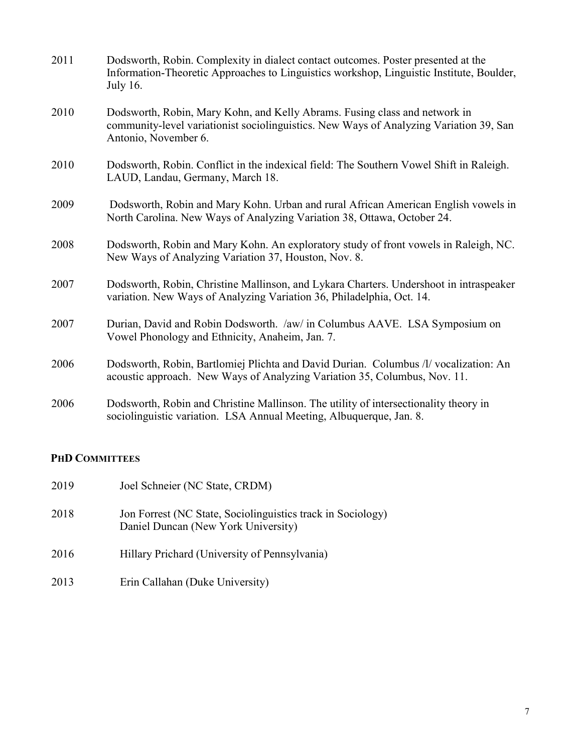| 2011 | Dodsworth, Robin. Complexity in dialect contact outcomes. Poster presented at the<br>Information-Theoretic Approaches to Linguistics workshop, Linguistic Institute, Boulder,<br><b>July 16.</b> |
|------|--------------------------------------------------------------------------------------------------------------------------------------------------------------------------------------------------|
| 2010 | Dodsworth, Robin, Mary Kohn, and Kelly Abrams. Fusing class and network in<br>community-level variationist sociolinguistics. New Ways of Analyzing Variation 39, San<br>Antonio, November 6.     |
| 2010 | Dodsworth, Robin. Conflict in the indexical field: The Southern Vowel Shift in Raleigh.<br>LAUD, Landau, Germany, March 18.                                                                      |
| 2009 | Dodsworth, Robin and Mary Kohn. Urban and rural African American English vowels in<br>North Carolina. New Ways of Analyzing Variation 38, Ottawa, October 24.                                    |
| 2008 | Dodsworth, Robin and Mary Kohn. An exploratory study of front vowels in Raleigh, NC.<br>New Ways of Analyzing Variation 37, Houston, Nov. 8.                                                     |
| 2007 | Dodsworth, Robin, Christine Mallinson, and Lykara Charters. Undershoot in intraspeaker<br>variation. New Ways of Analyzing Variation 36, Philadelphia, Oct. 14.                                  |
| 2007 | Durian, David and Robin Dodsworth. /aw/ in Columbus AAVE. LSA Symposium on<br>Vowel Phonology and Ethnicity, Anaheim, Jan. 7.                                                                    |
| 2006 | Dodsworth, Robin, Bartlomiej Plichta and David Durian. Columbus /l/ vocalization: An<br>acoustic approach. New Ways of Analyzing Variation 35, Columbus, Nov. 11.                                |
| 2006 | Dodsworth, Robin and Christine Mallinson. The utility of intersectionality theory in<br>sociolinguistic variation. LSA Annual Meeting, Albuquerque, Jan. 8.                                      |

# PHD COMMITTEES

| 2019 | Joel Schneier (NC State, CRDM)                                                                     |
|------|----------------------------------------------------------------------------------------------------|
| 2018 | Jon Forrest (NC State, Sociolinguistics track in Sociology)<br>Daniel Duncan (New York University) |
| 2016 | Hillary Prichard (University of Pennsylvania)                                                      |
| 2013 | Erin Callahan (Duke University)                                                                    |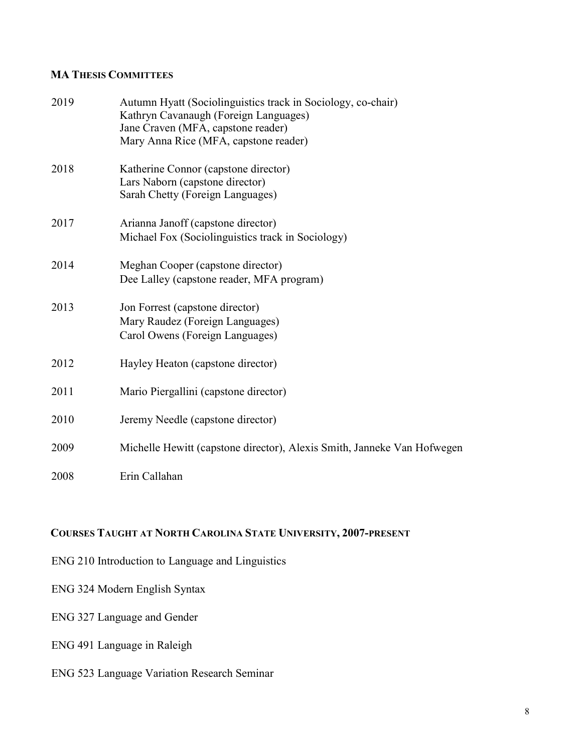## MA THESIS COMMITTEES

| 2019 | Autumn Hyatt (Sociolinguistics track in Sociology, co-chair)<br>Kathryn Cavanaugh (Foreign Languages)<br>Jane Craven (MFA, capstone reader)<br>Mary Anna Rice (MFA, capstone reader) |
|------|--------------------------------------------------------------------------------------------------------------------------------------------------------------------------------------|
| 2018 | Katherine Connor (capstone director)<br>Lars Naborn (capstone director)<br>Sarah Chetty (Foreign Languages)                                                                          |
| 2017 | Arianna Janoff (capstone director)<br>Michael Fox (Sociolinguistics track in Sociology)                                                                                              |
| 2014 | Meghan Cooper (capstone director)<br>Dee Lalley (capstone reader, MFA program)                                                                                                       |
| 2013 | Jon Forrest (capstone director)<br>Mary Raudez (Foreign Languages)<br>Carol Owens (Foreign Languages)                                                                                |
| 2012 | Hayley Heaton (capstone director)                                                                                                                                                    |
| 2011 | Mario Piergallini (capstone director)                                                                                                                                                |
| 2010 | Jeremy Needle (capstone director)                                                                                                                                                    |
| 2009 | Michelle Hewitt (capstone director), Alexis Smith, Janneke Van Hofwegen                                                                                                              |
| 2008 | Erin Callahan                                                                                                                                                                        |

## COURSES TAUGHT AT NORTH CAROLINA STATE UNIVERSITY, 2007-PRESENT

- ENG 210 Introduction to Language and Linguistics
- ENG 324 Modern English Syntax
- ENG 327 Language and Gender
- ENG 491 Language in Raleigh
- ENG 523 Language Variation Research Seminar